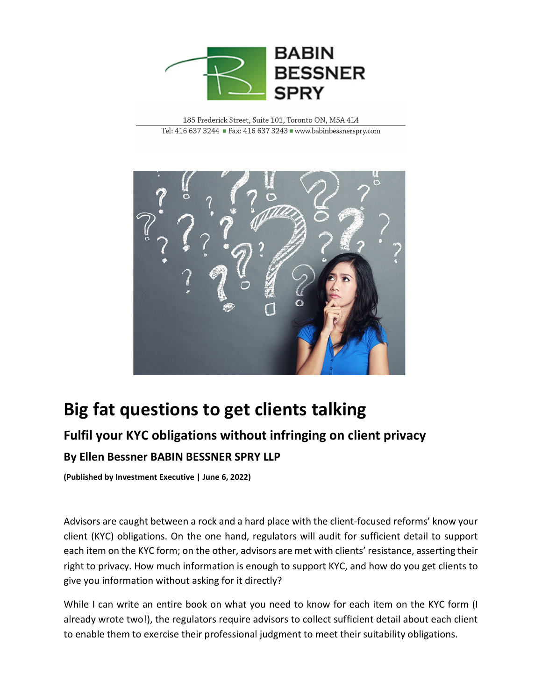

185 Frederick Street, Suite 101, Toronto ON, M5A 4L4 Tel: 416 637 3244 Fax: 416 637 3243 www.babinbessnerspry.com



## **Big fat questions to get clients talking**

## **Fulfil your KYC obligations without infringing on client privacy By Ellen Bessner BABIN BESSNER SPRY LLP**

**(Published by Investment Executive | June 6, 2022)**

Advisors are caught between a rock and a hard place with the client-focused reforms' know your client (KYC) obligations. On the one hand, regulators will audit for sufficient detail to support each item on the KYC form; on the other, advisors are met with clients' resistance, asserting their right to privacy. How much information is enough to support KYC, and how do you get clients to give you information without asking for it directly?

While I can write an entire book on what you need to know for each item on the KYC form (I already wrote two!), the regulators require advisors to collect sufficient detail about each client to enable them to exercise their professional judgment to meet their suitability obligations.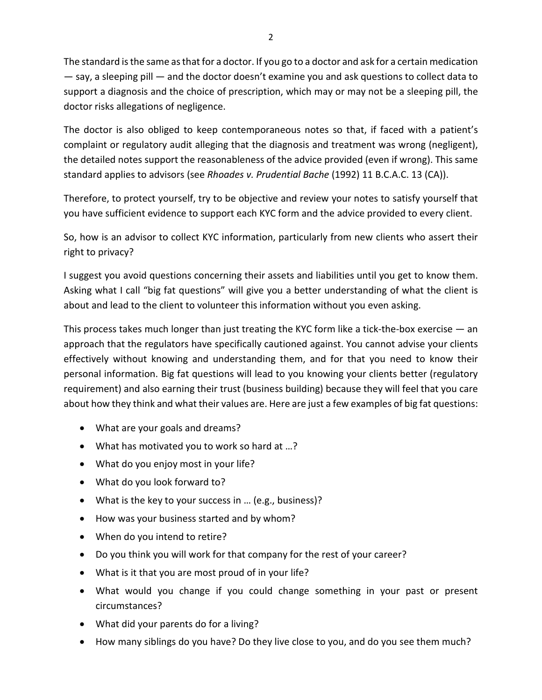The standard is the same as that for a doctor. If you go to a doctor and ask for a certain medication — say, a sleeping pill — and the doctor doesn't examine you and ask questions to collect data to support a diagnosis and the choice of prescription, which may or may not be a sleeping pill, the doctor risks allegations of negligence.

The doctor is also obliged to keep contemporaneous notes so that, if faced with a patient's complaint or regulatory audit alleging that the diagnosis and treatment was wrong (negligent), the detailed notes support the reasonableness of the advice provided (even if wrong). This same standard applies to advisors (see *Rhoades v. Prudential Bache* (1992) 11 B.C.A.C. 13 (CA)).

Therefore, to protect yourself, try to be objective and review your notes to satisfy yourself that you have sufficient evidence to support each KYC form and the advice provided to every client.

So, how is an advisor to collect KYC information, particularly from new clients who assert their right to privacy?

I suggest you avoid questions concerning their assets and liabilities until you get to know them. Asking what I call "big fat questions" will give you a better understanding of what the client is about and lead to the client to volunteer this information without you even asking.

This process takes much longer than just treating the KYC form like a tick-the-box exercise  $-$  an approach that the regulators have specifically cautioned against. You cannot advise your clients effectively without knowing and understanding them, and for that you need to know their personal information. Big fat questions will lead to you knowing your clients better (regulatory requirement) and also earning their trust (business building) because they will feel that you care about how they think and what their values are. Here are just a few examples of big fat questions:

- What are your goals and dreams?
- What has motivated you to work so hard at …?
- What do you enjoy most in your life?
- What do you look forward to?
- What is the key to your success in … (e.g., business)?
- How was your business started and by whom?
- When do you intend to retire?
- Do you think you will work for that company for the rest of your career?
- What is it that you are most proud of in your life?
- What would you change if you could change something in your past or present circumstances?
- What did your parents do for a living?
- How many siblings do you have? Do they live close to you, and do you see them much?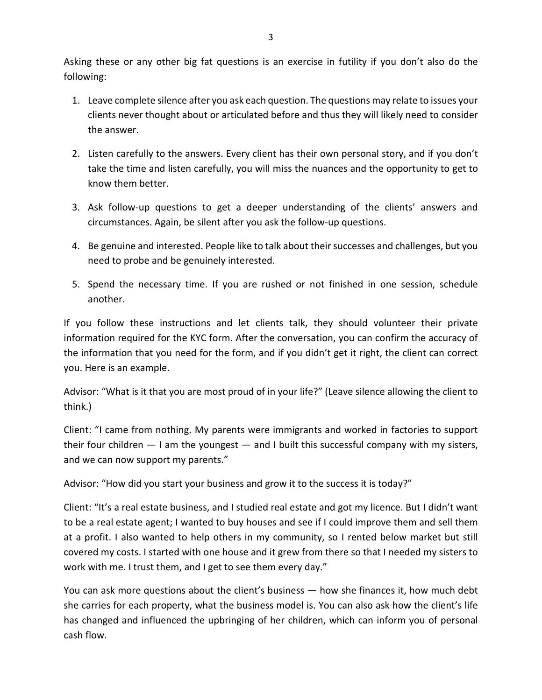Asking these or any other big fat questions is an exercise in futility if you don't also do the following:

- 1. Leave complete silence after you ask each question. The questions may relate to issues your clients never thought about or articulated before and thus they will likely need to consider the answer.
- 2. Listen carefully to the answers. Every client has their own personal story, and if you don't take the time and listen carefully, you will miss the nuances and the opportunity to get to know them better.
- 3. Ask follow-up questions to get a deeper understanding of the clients' answers and circumstances. Again, be silent after you ask the follow-up questions.
- 4. Be genuine and interested. People like to talk about their successes and challenges, but you need to probe and be genuinely interested.
- 5. Spend the necessary time. If you are rushed or not finished in one session, schedule another.

If you follow these instructions and let clients talk, they should volunteer their private information required for the KYC form. After the conversation, you can confirm the accuracy of the information that you need for the form, and if you didn't get it right, the client can correct you. Here is an example.

Advisor: "What is it that you are most proud of in your life?" (Leave silence allowing the client to think.)

Client: "I came from nothing. My parents were immigrants and worked in factories to support their four children  $-1$  am the youngest  $-$  and I built this successful company with my sisters, and we can now support my parents."

Advisor: "How did you start your business and grow it to the success it is today?"

Client: "It's a real estate business, and I studied real estate and got my licence. But I didn't want to be a real estate agent; I wanted to buy houses and see if I could improve them and sell them at a profit. I also wanted to help others in my community, so I rented below market but still covered my costs. I started with one house and it grew from there so that I needed my sisters to work with me. I trust them, and I get to see them every day."

You can ask more questions about the client's business — how she finances it, how much debt she carries for each property, what the business model is. You can also ask how the client's life has changed and influenced the upbringing of her children, which can inform you of personal cash flow.